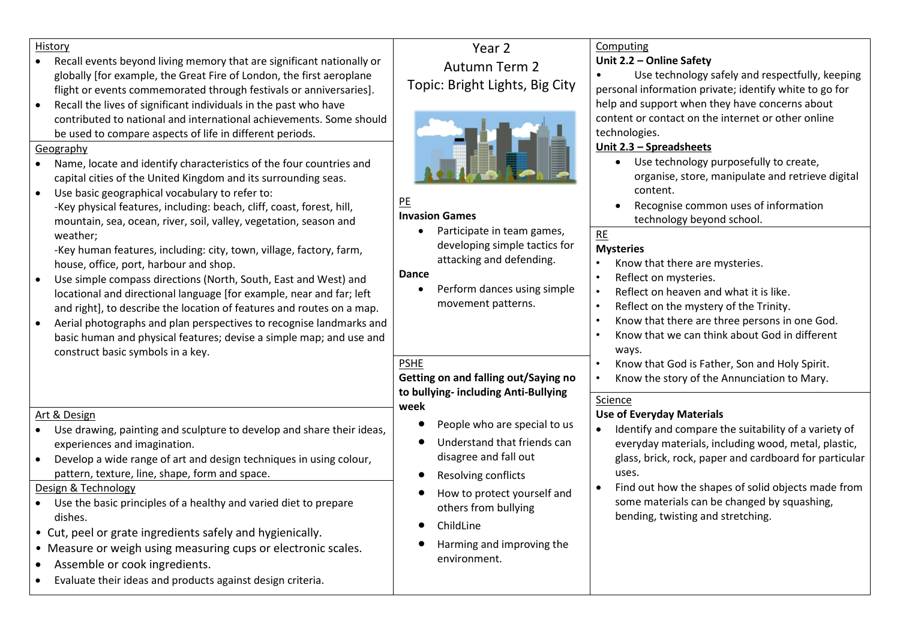| History<br>Recall events beyond living memory that are significant nationally or<br>globally [for example, the Great Fire of London, the first aeroplane<br>flight or events commemorated through festivals or anniversaries].<br>Recall the lives of significant individuals in the past who have<br>$\bullet$<br>contributed to national and international achievements. Some should<br>be used to compare aspects of life in different periods.<br>Geography<br>Name, locate and identify characteristics of the four countries and<br>$\bullet$<br>capital cities of the United Kingdom and its surrounding seas.<br>Use basic geographical vocabulary to refer to:<br>$\bullet$<br>-Key physical features, including: beach, cliff, coast, forest, hill,<br>mountain, sea, ocean, river, soil, valley, vegetation, season and<br>weather;<br>-Key human features, including: city, town, village, factory, farm,<br>house, office, port, harbour and shop.<br>Use simple compass directions (North, South, East and West) and<br>locational and directional language [for example, near and far; left<br>and right], to describe the location of features and routes on a map.<br>Aerial photographs and plan perspectives to recognise landmarks and<br>basic human and physical features; devise a simple map; and use and<br>construct basic symbols in a key. | Year <sub>2</sub><br><b>Autumn Term 2</b><br>Topic: Bright Lights, Big City<br>PE<br><b>Invasion Games</b><br>Participate in team games,<br>developing simple tactics for<br>attacking and defending.<br><b>Dance</b><br>Perform dances using simple<br>movement patterns.                                                 | Computing<br>Unit 2.2 - Online Safety<br>Use technology safely and respectfully, keeping<br>personal information private; identify white to go for<br>help and support when they have concerns about<br>content or contact on the internet or other online<br>technologies.<br>Unit 2.3 - Spreadsheets<br>• Use technology purposefully to create,<br>organise, store, manipulate and retrieve digital<br>content.<br>Recognise common uses of information<br>technology beyond school.<br>RE<br><b>Mysteries</b><br>Know that there are mysteries.<br>Reflect on mysteries.<br>$\bullet$<br>Reflect on heaven and what it is like.<br>$\bullet$<br>Reflect on the mystery of the Trinity.<br>$\bullet$<br>Know that there are three persons in one God.<br>$\bullet$<br>Know that we can think about God in different<br>$\bullet$<br>ways.<br>Know that God is Father, Son and Holy Spirit.<br>$\bullet$ |
|------------------------------------------------------------------------------------------------------------------------------------------------------------------------------------------------------------------------------------------------------------------------------------------------------------------------------------------------------------------------------------------------------------------------------------------------------------------------------------------------------------------------------------------------------------------------------------------------------------------------------------------------------------------------------------------------------------------------------------------------------------------------------------------------------------------------------------------------------------------------------------------------------------------------------------------------------------------------------------------------------------------------------------------------------------------------------------------------------------------------------------------------------------------------------------------------------------------------------------------------------------------------------------------------------------------------------------------------------------------------|----------------------------------------------------------------------------------------------------------------------------------------------------------------------------------------------------------------------------------------------------------------------------------------------------------------------------|------------------------------------------------------------------------------------------------------------------------------------------------------------------------------------------------------------------------------------------------------------------------------------------------------------------------------------------------------------------------------------------------------------------------------------------------------------------------------------------------------------------------------------------------------------------------------------------------------------------------------------------------------------------------------------------------------------------------------------------------------------------------------------------------------------------------------------------------------------------------------------------------------------|
| Art & Design<br>Use drawing, painting and sculpture to develop and share their ideas,<br>experiences and imagination.<br>Develop a wide range of art and design techniques in using colour,<br>pattern, texture, line, shape, form and space.<br>Design & Technology<br>Use the basic principles of a healthy and varied diet to prepare<br>dishes.<br>• Cut, peel or grate ingredients safely and hygienically.<br>• Measure or weigh using measuring cups or electronic scales.<br>Assemble or cook ingredients.<br>Evaluate their ideas and products against design criteria.                                                                                                                                                                                                                                                                                                                                                                                                                                                                                                                                                                                                                                                                                                                                                                                       | Getting on and falling out/Saying no<br>to bullying-including Anti-Bullying<br>week<br>People who are special to us<br>Understand that friends can<br>disagree and fall out<br><b>Resolving conflicts</b><br>How to protect yourself and<br>others from bullying<br>ChildLine<br>Harming and improving the<br>environment. | Know the story of the Annunciation to Mary.<br>$\bullet$<br>Science<br><b>Use of Everyday Materials</b><br>Identify and compare the suitability of a variety of<br>everyday materials, including wood, metal, plastic,<br>glass, brick, rock, paper and cardboard for particular<br>uses.<br>Find out how the shapes of solid objects made from<br>some materials can be changed by squashing,<br>bending, twisting and stretching.                                                                                                                                                                                                                                                                                                                                                                                                                                                                        |